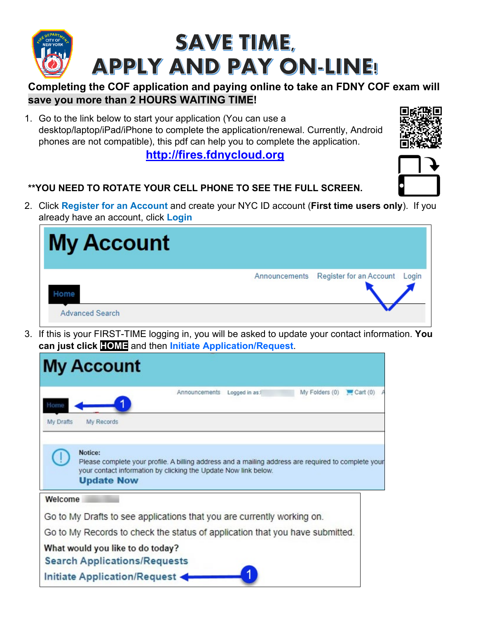

## **Completing the COF application and paying online to take an FDNY COF exam will save you more than 2 HOURS WAITING TIME!**

1. Go to the link below to start your application (You can use a desktop/laptop/iPad/iPhone to complete the application/renewal. Currently, Android phones are not compatible), this pdf can help you to complete the application.

**[http://fires.fdnycloud.org](http://fires.fdnycloud.org/)**

## **\*\*YOU NEED TO ROTATE YOUR CELL PHONE TO SEE THE FULL SCREEN.**

2. Click **Register for an Account** and create your NYC ID account (**First time users only**). If you already have an account, click **Login**

| <b>My Account</b>      |               |                               |
|------------------------|---------------|-------------------------------|
|                        | Announcements | Register for an Account Login |
| <b>Advanced Search</b> |               |                               |

3. If this is your FIRST-TIME logging in, you will be asked to update your contact information. **You can just click HOME** and then **Initiate Application/Request**.

|           | <b>My Account</b>                                                                                                                                                                                      |
|-----------|--------------------------------------------------------------------------------------------------------------------------------------------------------------------------------------------------------|
| Home      | Announcements Logged in as:<br>My Folders (0)<br>Cart(0)                                                                                                                                               |
| My Drafts | My Records                                                                                                                                                                                             |
|           | Notice:<br>Please complete your profile. A billing address and a mailing address are required to complete your<br>your contact information by clicking the Update Now link below.<br><b>Update Now</b> |
| Welcome   |                                                                                                                                                                                                        |
|           | Go to My Drafts to see applications that you are currently working on.                                                                                                                                 |
|           | Go to My Records to check the status of application that you have submitted.                                                                                                                           |
|           | What would you like to do today?                                                                                                                                                                       |
|           | <b>Search Applications/Requests</b>                                                                                                                                                                    |
|           | Initiate Application/Request -                                                                                                                                                                         |